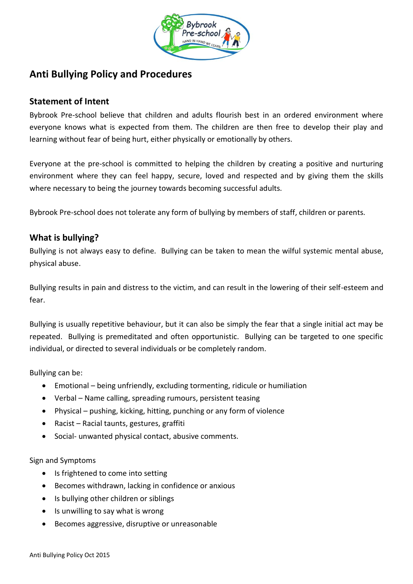

# **Anti Bullying Policy and Procedures**

### **Statement of Intent**

Bybrook Pre-school believe that children and adults flourish best in an ordered environment where everyone knows what is expected from them. The children are then free to develop their play and learning without fear of being hurt, either physically or emotionally by others.

Everyone at the pre-school is committed to helping the children by creating a positive and nurturing environment where they can feel happy, secure, loved and respected and by giving them the skills where necessary to being the journey towards becoming successful adults.

Bybrook Pre-school does not tolerate any form of bullying by members of staff, children or parents.

### **What is bullying?**

Bullying is not always easy to define. Bullying can be taken to mean the wilful systemic mental abuse, physical abuse.

Bullying results in pain and distress to the victim, and can result in the lowering of their self-esteem and fear.

Bullying is usually repetitive behaviour, but it can also be simply the fear that a single initial act may be repeated. Bullying is premeditated and often opportunistic. Bullying can be targeted to one specific individual, or directed to several individuals or be completely random.

Bullying can be:

- Emotional being unfriendly, excluding tormenting, ridicule or humiliation
- Verbal Name calling, spreading rumours, persistent teasing
- Physical pushing, kicking, hitting, punching or any form of violence
- Racist Racial taunts, gestures, graffiti
- Social- unwanted physical contact, abusive comments.

Sign and Symptoms

- Is frightened to come into setting
- Becomes withdrawn, lacking in confidence or anxious
- Is bullying other children or siblings
- $\bullet$  Is unwilling to say what is wrong
- Becomes aggressive, disruptive or unreasonable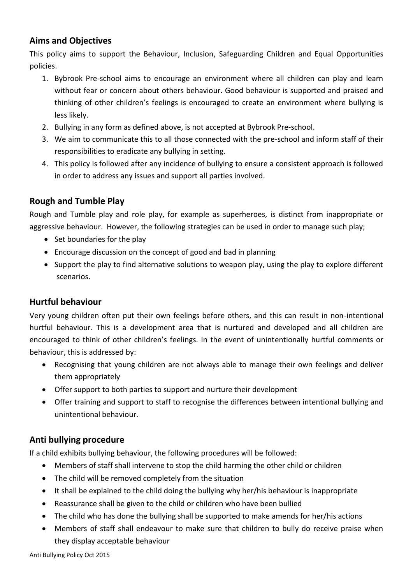## **Aims and Objectives**

This policy aims to support the Behaviour, Inclusion, Safeguarding Children and Equal Opportunities policies.

- 1. Bybrook Pre-school aims to encourage an environment where all children can play and learn without fear or concern about others behaviour. Good behaviour is supported and praised and thinking of other children's feelings is encouraged to create an environment where bullying is less likely.
- 2. Bullying in any form as defined above, is not accepted at Bybrook Pre-school.
- 3. We aim to communicate this to all those connected with the pre-school and inform staff of their responsibilities to eradicate any bullying in setting.
- 4. This policy is followed after any incidence of bullying to ensure a consistent approach is followed in order to address any issues and support all parties involved.

# **Rough and Tumble Play**

Rough and Tumble play and role play, for example as superheroes, is distinct from inappropriate or aggressive behaviour. However, the following strategies can be used in order to manage such play;

- Set boundaries for the play
- Encourage discussion on the concept of good and bad in planning
- Support the play to find alternative solutions to weapon play, using the play to explore different scenarios.

## **Hurtful behaviour**

Very young children often put their own feelings before others, and this can result in non-intentional hurtful behaviour. This is a development area that is nurtured and developed and all children are encouraged to think of other children's feelings. In the event of unintentionally hurtful comments or behaviour, this is addressed by:

- Recognising that young children are not always able to manage their own feelings and deliver them appropriately
- Offer support to both parties to support and nurture their development
- Offer training and support to staff to recognise the differences between intentional bullying and unintentional behaviour.

# **Anti bullying procedure**

If a child exhibits bullying behaviour, the following procedures will be followed:

- Members of staff shall intervene to stop the child harming the other child or children
- The child will be removed completely from the situation
- It shall be explained to the child doing the bullying why her/his behaviour is inappropriate
- Reassurance shall be given to the child or children who have been bullied
- The child who has done the bullying shall be supported to make amends for her/his actions
- Members of staff shall endeavour to make sure that children to bully do receive praise when they display acceptable behaviour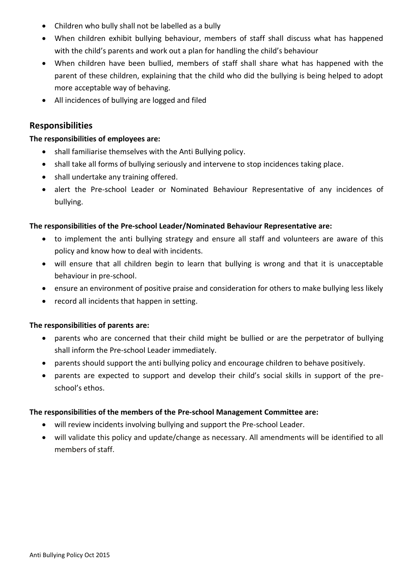- Children who bully shall not be labelled as a bully
- When children exhibit bullying behaviour, members of staff shall discuss what has happened with the child's parents and work out a plan for handling the child's behaviour
- When children have been bullied, members of staff shall share what has happened with the parent of these children, explaining that the child who did the bullying is being helped to adopt more acceptable way of behaving.
- All incidences of bullying are logged and filed

### **Responsibilities**

### **The responsibilities of employees are:**

- shall familiarise themselves with the Anti Bullying policy.
- shall take all forms of bullying seriously and intervene to stop incidences taking place.
- shall undertake any training offered.
- alert the Pre-school Leader or Nominated Behaviour Representative of any incidences of bullying.

### **The responsibilities of the Pre-school Leader/Nominated Behaviour Representative are:**

- to implement the anti bullying strategy and ensure all staff and volunteers are aware of this policy and know how to deal with incidents.
- will ensure that all children begin to learn that bullying is wrong and that it is unacceptable behaviour in pre-school.
- ensure an environment of positive praise and consideration for others to make bullying less likely
- record all incidents that happen in setting.

### **The responsibilities of parents are:**

- parents who are concerned that their child might be bullied or are the perpetrator of bullying shall inform the Pre-school Leader immediately.
- parents should support the anti bullying policy and encourage children to behave positively.
- parents are expected to support and develop their child's social skills in support of the preschool's ethos.

### **The responsibilities of the members of the Pre-school Management Committee are:**

- will review incidents involving bullying and support the Pre-school Leader.
- will validate this policy and update/change as necessary. All amendments will be identified to all members of staff.